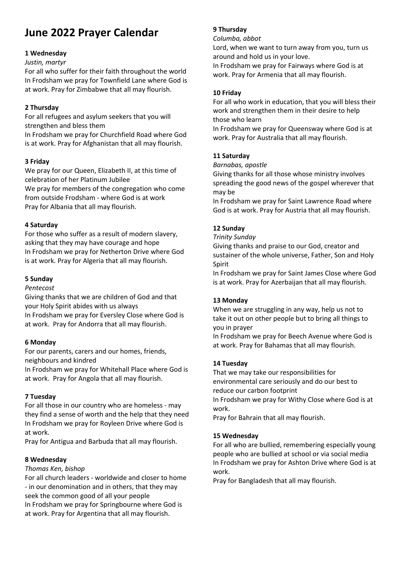# **June 2022 Prayer Calendar**

### **1 Wednesday**

#### *Justin, martyr*

For all who suffer for their faith throughout the world In Frodsham we pray for Townfield Lane where God is at work. Pray for Zimbabwe that all may flourish.

### **2 Thursday**

For all refugees and asylum seekers that you will strengthen and bless them In Frodsham we pray for Churchfield Road where God is at work. Pray for Afghanistan that all may flourish.

### **3 Friday**

We pray for our Queen, Elizabeth II, at this time of celebration of her Platinum Jubilee We pray for members of the congregation who come from outside Frodsham - where God is at work Pray for Albania that all may flourish.

### **4 Saturday**

For those who suffer as a result of modern slavery, asking that they may have courage and hope In Frodsham we pray for Netherton Drive where God is at work. Pray for Algeria that all may flourish.

### **5 Sunday**

### *Pentecost*

Giving thanks that we are children of God and that your Holy Spirit abides with us always In Frodsham we pray for Eversley Close where God is at work. Pray for Andorra that all may flourish.

### **6 Monday**

For our parents, carers and our homes, friends, neighbours and kindred

In Frodsham we pray for Whitehall Place where God is at work. Pray for Angola that all may flourish.

## **7 Tuesday**

For all those in our country who are homeless - may they find a sense of worth and the help that they need In Frodsham we pray for Royleen Drive where God is at work.

Pray for Antigua and Barbuda that all may flourish.

## **8 Wednesday**

### *Thomas Ken, bishop*

For all church leaders - worldwide and closer to home - in our denomination and in others, that they may seek the common good of all your people In Frodsham we pray for Springbourne where God is at work. Pray for Argentina that all may flourish.

### **9 Thursday**

*Columba, abbot*

Lord, when we want to turn away from you, turn us around and hold us in your love.

In Frodsham we pray for Fairways where God is at work. Pray for Armenia that all may flourish.

### **10 Friday**

For all who work in education, that you will bless their work and strengthen them in their desire to help those who learn

In Frodsham we pray for Queensway where God is at work. Pray for Australia that all may flourish.

### **11 Saturday**

#### *Barnabas, apostle*

Giving thanks for all those whose ministry involves spreading the good news of the gospel wherever that may be

In Frodsham we pray for Saint Lawrence Road where God is at work. Pray for Austria that all may flourish.

## **12 Sunday**

#### *Trinity Sunday*

Giving thanks and praise to our God, creator and sustainer of the whole universe, Father, Son and Holy Spirit

In Frodsham we pray for Saint James Close where God is at work. Pray for Azerbaijan that all may flourish.

### **13 Monday**

When we are struggling in any way, help us not to take it out on other people but to bring all things to you in prayer

In Frodsham we pray for Beech Avenue where God is at work. Pray for Bahamas that all may flourish.

### **14 Tuesday**

That we may take our responsibilities for environmental care seriously and do our best to reduce our carbon footprint

In Frodsham we pray for Withy Close where God is at work.

Pray for Bahrain that all may flourish.

### **15 Wednesday**

For all who are bullied, remembering especially young people who are bullied at school or via social media In Frodsham we pray for Ashton Drive where God is at work.

Pray for Bangladesh that all may flourish.